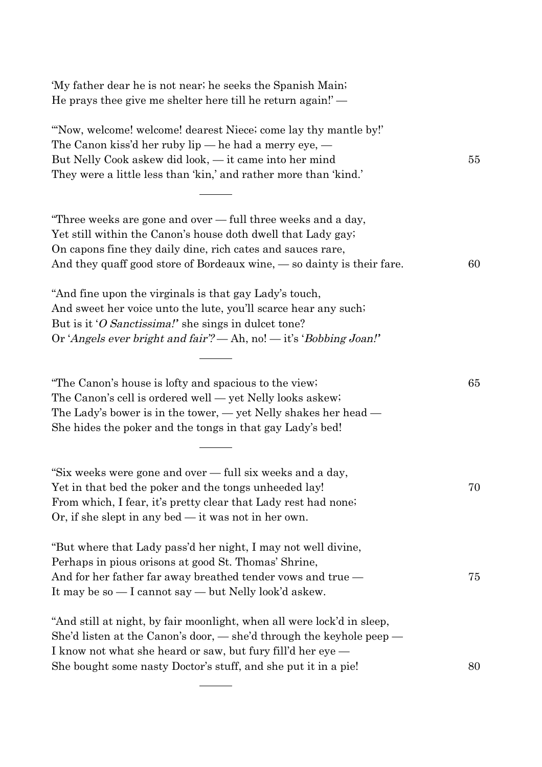| 'My father dear he is not near; he seeks the Spanish Main;<br>He prays thee give me shelter here till he return again!'—                                                                                                                                                            |    |
|-------------------------------------------------------------------------------------------------------------------------------------------------------------------------------------------------------------------------------------------------------------------------------------|----|
| "Now, welcome! welcome! dearest Niece; come lay thy mantle by!"<br>The Canon kiss'd her ruby $lip$ — he had a merry eye, —<br>But Nelly Cook askew did look, — it came into her mind<br>They were a little less than 'kin,' and rather more than 'kind.'                            | 55 |
| "Three weeks are gone and over — full three weeks and a day,<br>Yet still within the Canon's house doth dwell that Lady gay;<br>On capons fine they daily dine, rich cates and sauces rare,<br>And they quaff good store of Bordeaux wine, $\sim$ so dainty is their fare.          | 60 |
| "And fine upon the virginals is that gay Lady's touch,<br>And sweet her voice unto the lute, you'll scarce hear any such.<br>But is it 'O Sanctissima!' she sings in dulcet tone?<br>Or 'Angels ever bright and fair'? — Ah, no! — it's 'Bobbing Joan!'                             |    |
| "The Canon's house is lofty and spacious to the view;<br>The Canon's cell is ordered well — yet Nelly looks askew;<br>The Lady's bower is in the tower, $-$ yet Nelly shakes her head $-$<br>She hides the poker and the tongs in that gay Lady's bed!                              | 65 |
| "Six weeks were gone and over - full six weeks and a day,<br>Yet in that bed the poker and the tongs unheeded lay!<br>From which, I fear, it's pretty clear that Lady rest had none.<br>Or, if she slept in any bed $-$ it was not in her own.                                      | 70 |
| "But where that Lady pass'd her night, I may not well divine,<br>Perhaps in pious orisons at good St. Thomas' Shrine,<br>And for her father far away breathed tender vows and true —<br>It may be so — I cannot say — but Nelly look'd askew.                                       | 75 |
| "And still at night, by fair moonlight, when all were lock'd in sleep,<br>She'd listen at the Canon's door, $-$ she'd through the keyhole peep $-$<br>I know not what she heard or saw, but fury fill'd her eye —<br>She bought some nasty Doctor's stuff, and she put it in a pie! | 80 |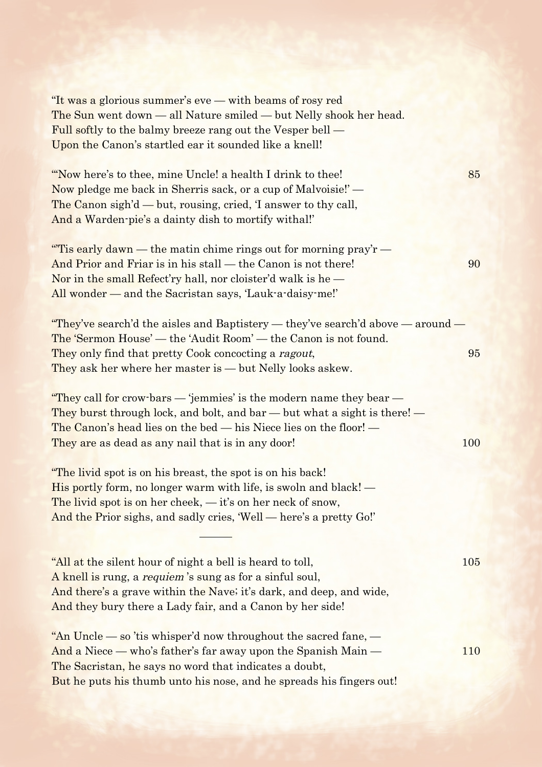| "It was a glorious summer's eve — with beams of rosy red<br>The Sun went down - all Nature smiled - but Nelly shook her head.<br>Full softly to the balmy breeze rang out the Vesper bell —<br>Upon the Canon's startled ear it sounded like a knell!                                                                                                                                                                                                                                                                                                                                              |            |
|----------------------------------------------------------------------------------------------------------------------------------------------------------------------------------------------------------------------------------------------------------------------------------------------------------------------------------------------------------------------------------------------------------------------------------------------------------------------------------------------------------------------------------------------------------------------------------------------------|------------|
| "Now here's to thee, mine Uncle! a health I drink to thee!"<br>Now pledge me back in Sherris sack, or a cup of Malvoisie!' -<br>The Canon sigh'd — but, rousing, cried, T answer to thy call,<br>And a Warden-pie's a dainty dish to mortify withal!"                                                                                                                                                                                                                                                                                                                                              | 85         |
| "Tis early dawn — the matin chime rings out for morning $\frac{\text{pr} - \text{pr} - \text{pr}}{\text{pr} - \text{pr} - \text{pr} - \text{pr} - \text{pr} - \text{pr} - \text{pr} - \text{pr} - \text{pr} - \text{pr} - \text{pr} - \text{pr} - \text{pr} - \text{pr} - \text{pr} - \text{pr} - \text{pr} - \text{pr} - \text{pr} - \text{pr} - \text{pr} - \text{pr} - \text{pr} - \text{pr} - \$<br>And Prior and Friar is in his stall — the Canon is not there!<br>Nor in the small Refect'ry hall, nor cloister'd walk is he $-$<br>All wonder — and the Sacristan says, 'Lauk-a-daisy-me!' | 90         |
| "They've search'd the aisles and Baptistery — they've search'd above — around —                                                                                                                                                                                                                                                                                                                                                                                                                                                                                                                    |            |
| The 'Sermon House' — the 'Audit Room' — the Canon is not found.                                                                                                                                                                                                                                                                                                                                                                                                                                                                                                                                    |            |
| They only find that pretty Cook concocting a ragout,<br>They ask her where her master is - but Nelly looks askew.                                                                                                                                                                                                                                                                                                                                                                                                                                                                                  | 95         |
| "They call for crow-bars — 'jemmies' is the modern name they bear —<br>They burst through lock, and bolt, and bar — but what a sight is there! —<br>The Canon's head lies on the bed — his Niece lies on the floor! —<br>They are as dead as any nail that is in any door!                                                                                                                                                                                                                                                                                                                         | 100        |
| "The livid spot is on his breast, the spot is on his back!"<br>His portly form, no longer warm with life, is swoln and black! —<br>The livid spot is on her cheek, $-$ it's on her neck of snow,<br>And the Prior sighs, and sadly cries, 'Well - here's a pretty Go!'                                                                                                                                                                                                                                                                                                                             |            |
| "All at the silent hour of night a bell is heard to toll,<br>A knell is rung, a <i>requiem</i> 's sung as for a sinful soul,<br>And there's a grave within the Nave; it's dark, and deep, and wide,<br>And they bury there a Lady fair, and a Canon by her side!                                                                                                                                                                                                                                                                                                                                   | <b>105</b> |
| "An Uncle — so 'tis whisper'd now throughout the sacred fane, $-$<br>And a Niece — who's father's far away upon the Spanish Main —<br>The Sacristan, he says no word that indicates a doubt,<br>But he puts his thumb unto his nose, and he spreads his fingers out!                                                                                                                                                                                                                                                                                                                               | 110        |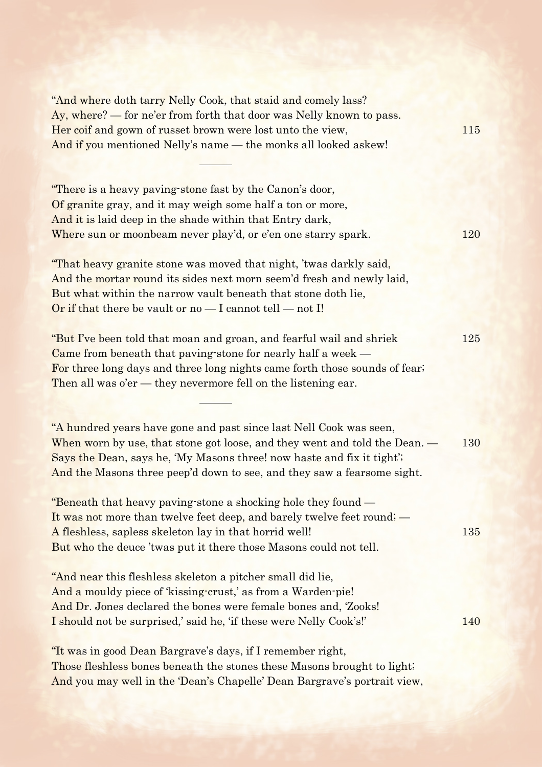"And where doth tarry Nelly Cook, that staid and comely lass? Ay, where? — for ne'er from forth that door was Nelly known to pass. Her coif and gown of russet brown were lost unto the view, 115 And if you mentioned Nelly's name — the monks all looked askew!

"There is a heavy paving-stone fast by the Canon's door, Of granite gray, and it may weigh some half a ton or more, And it is laid deep in the shade within that Entry dark, Where sun or moonbeam never play'd, or e'en one starry spark. 120

"That heavy granite stone was moved that night, 'twas darkly said, And the mortar round its sides next morn seem'd fresh and newly laid, But what within the narrow vault beneath that stone doth lie, Or if that there be vault or  $no - I$  cannot tell  $- not I!$ 

"But I've been told that moan and groan, and fearful wail and shriek 125 Came from beneath that paving-stone for nearly half a week — For three long days and three long nights came forth those sounds of fear; Then all was o'er — they nevermore fell on the listening ear.

"A hundred years have gone and past since last Nell Cook was seen, When worn by use, that stone got loose, and they went and told the Dean. — 130 Says the Dean, says he, 'My Masons three! now haste and fix it tight'; And the Masons three peep'd down to see, and they saw a fearsome sight.

"Beneath that heavy paving-stone a shocking hole they found — It was not more than twelve feet deep, and barely twelve feet round; — A fleshless, sapless skeleton lay in that horrid well! 135 But who the deuce 'twas put it there those Masons could not tell.

"And near this fleshless skeleton a pitcher small did lie, And a mouldy piece of 'kissing-crust,' as from a Warden-pie! And Dr. Jones declared the bones were female bones and, 'Zooks! I should not be surprised,' said he, 'if these were Nelly Cook's!' 140

"It was in good Dean Bargrave's days, if I remember right, Those fleshless bones beneath the stones these Masons brought to light; And you may well in the 'Dean's Chapelle' Dean Bargrave's portrait view,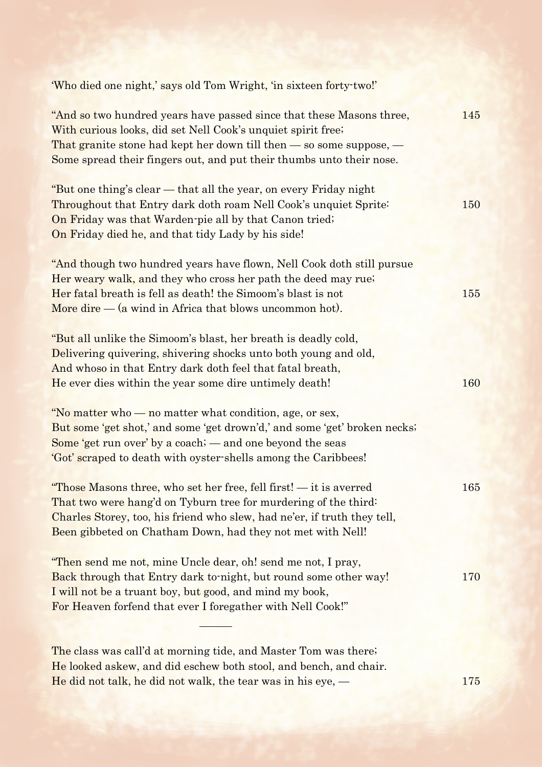| 'Who died one night,' says old Tom Wright, 'in sixteen forty-two!'                                                                                                                                                                                                                      |     |
|-----------------------------------------------------------------------------------------------------------------------------------------------------------------------------------------------------------------------------------------------------------------------------------------|-----|
| "And so two hundred years have passed since that these Masons three,<br>With curious looks, did set Nell Cook's unquiet spirit free;<br>That granite stone had kept her down till then $-$ so some suppose, $-$<br>Some spread their fingers out, and put their thumbs unto their nose. | 145 |
| "But one thing's clear — that all the year, on every Friday night<br>Throughout that Entry dark doth roam Nell Cook's unquiet Sprite:<br>On Friday was that Warden-pie all by that Canon tried;<br>On Friday died he, and that tidy Lady by his side!                                   | 150 |
| "And though two hundred years have flown, Nell Cook doth still pursue<br>Her weary walk, and they who cross her path the deed may rue.<br>Her fatal breath is fell as death! the Simoom's blast is not<br>More dire $-$ (a wind in Africa that blows uncommon hot).                     | 155 |
| "But all unlike the Simoom's blast, her breath is deadly cold,<br>Delivering quivering, shivering shocks unto both young and old,<br>And whoso in that Entry dark doth feel that fatal breath,<br>He ever dies within the year some dire untimely death!                                | 160 |
| "No matter who — no matter what condition, age, or sex,<br>But some 'get shot,' and some 'get drown'd,' and some 'get' broken necks;<br>Some 'get run over' by a coach; — and one beyond the seas<br>'Got' scraped to death with oyster-shells among the Caribbees!                     |     |
| "Those Masons three, who set her free, fell first! - it is averred<br>That two were hang'd on Tyburn tree for murdering of the third:<br>Charles Storey, too, his friend who slew, had ne'er, if truth they tell,<br>Been gibbeted on Chatham Down, had they not met with Nell!         | 165 |
| "Then send me not, mine Uncle dear, oh! send me not, I pray,<br>Back through that Entry dark to night, but round some other way!<br>I will not be a truant boy, but good, and mind my book,<br>For Heaven forfend that ever I foregather with Nell Cook!"                               | 170 |
| The class was call'd at morning tide, and Master Tom was there.<br>He looked askew, and did eschew both stool, and bench, and chair.<br>He did not talk, he did not walk, the tear was in his eye, $-$                                                                                  | 175 |